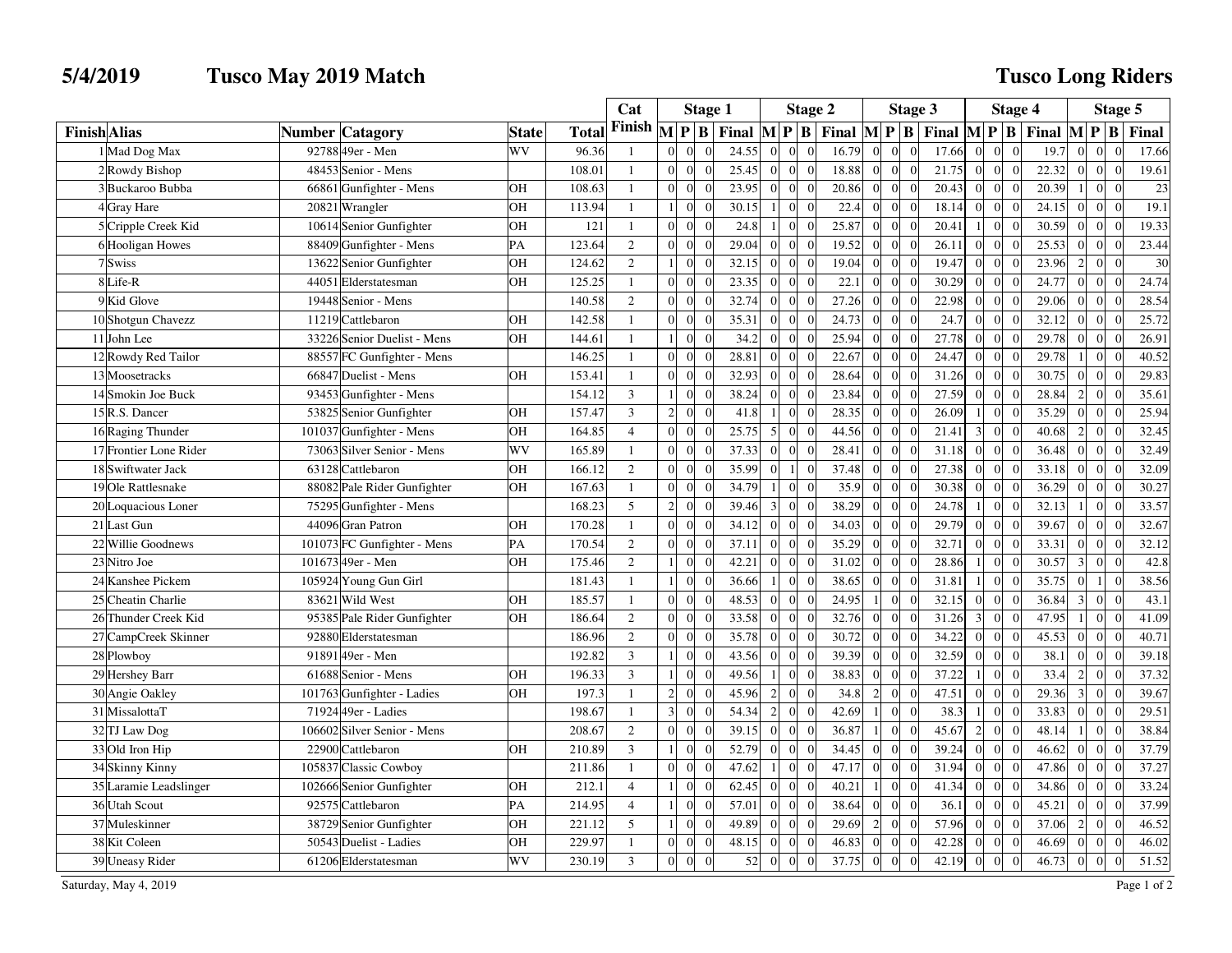## **5/4/2019 Tusco May 2019 Match**

## **Tusco Long Riders**

|                     |                        |                                |              |        | Cat            | <b>Stage 1</b>                                 |                   |                  | <b>Stage 2</b>       |       |                 |                | Stage 3                                                                                                                               | <b>Stage 4</b> |                                  |                                          |                |                               | Stage 5 |  |  |
|---------------------|------------------------|--------------------------------|--------------|--------|----------------|------------------------------------------------|-------------------|------------------|----------------------|-------|-----------------|----------------|---------------------------------------------------------------------------------------------------------------------------------------|----------------|----------------------------------|------------------------------------------|----------------|-------------------------------|---------|--|--|
| <b>Finish Alias</b> |                        | <b>Catagory</b><br>Number      | <b>State</b> | Total  | Finish         | $\mathbf{M}$<br>P B                            | Final             | $M$ $P$          | $\mathbf{B}$         |       |                 |                | Final $\left \mathbf{M}\right  \mathbf{P} \left \mathbf{B}\right $ Final $\left \mathbf{M}\right  \mathbf{P} \left \mathbf{B}\right $ |                |                                  | Final $\mathbf{M} \mathbf{P} \mathbf{B}$ |                |                               | Final   |  |  |
|                     | 1 Mad Dog Max          | 92788 49er - Men               | WV           | 96.36  | $\mathbf{1}$   | $\Omega$<br>$\Omega$                           | 24.55             | $\Omega$         |                      | 16.79 | $\overline{0}$  | $\Omega$       | $\Omega$<br>17.66                                                                                                                     | $\Omega$       | $\overline{0}$                   | 19.7                                     |                | $\Omega$                      | 17.66   |  |  |
|                     | 2 Rowdy Bishop         | 48453 Senior - Mens            |              | 108.01 | $\mathbf{1}$   | $\Omega$<br>$\Omega$<br>$\Omega$               | 25.45             | $\Omega$         | $\Omega$<br>$\Omega$ | 18.88 | $\Omega$        | $\Omega$       | $\theta$<br>21.75                                                                                                                     | $\Omega$       | $\overline{0}$<br>$\Omega$       | 22.32                                    | $\Omega$       | $\vert$ 0<br>$\Omega$         | 19.61   |  |  |
|                     | 3 Buckaroo Bubba       | 66861 Gunfighter - Mens        | OН           | 108.63 | $\mathbf{1}$   | $\overline{0}$<br>$\boldsymbol{0}$             | 23.95             | $\boldsymbol{0}$ |                      | 20.86 | $\overline{0}$  | $\overline{0}$ | $\overline{0}$<br>20.43                                                                                                               | $\overline{0}$ | $\vert 0 \vert$<br>$\Omega$      | 20.39                                    |                | $\vert$ 0<br>$\overline{0}$   | 23      |  |  |
|                     | 4Gray Hare             | 20821 Wrangler                 | OН           | 113.94 | $\mathbf{1}$   | $\mathbf{0}$<br>$\Omega$                       | 30.15             | $\overline{1}$   | $\Omega$             | 22.4  | $\mathbf{0}$    | $\overline{0}$ | $\overline{0}$<br>18.14                                                                                                               | $\Omega$       | $\overline{0}$<br>$\Omega$       | 24.15                                    | $\Omega$       | $\overline{0}$<br>$\Omega$    | 19.1    |  |  |
|                     | 5 Cripple Creek Kid    | 10614 Senior Gunfighter        | OН           | 121    | $\mathbf{1}$   | $\Omega$<br>$\overline{0}$                     | 24.8<br>$\Omega$  | $\mathbf{1}$     | $\Omega$<br>$\Omega$ | 25.87 | $\overline{0}$  | $\overline{0}$ | $\Omega$<br>20.41                                                                                                                     |                | $\overline{0}$<br>$\Omega$       | 30.59                                    | $\Omega$       | $\overline{0}$<br>$\Omega$    | 19.33   |  |  |
|                     | 6 Hooligan Howes       | 88409 Gunfighter - Mens        | PA           | 123.64 | $\overline{2}$ | $\Omega$<br>$\Omega$<br>$\Omega$               | 29.04             | $\Omega$         | $\Omega$             | 19.52 | $\overline{0}$  | $\Omega$       | 26.11<br>$\theta$                                                                                                                     | $\Omega$       | $\overline{0}$<br>$\Omega$       | 25.53                                    | $\Omega$       | $\vert$ 0<br>$\sqrt{ }$       | 23.44   |  |  |
|                     | 7 Swiss                | 13622 Senior Gunfighter        | OН           | 124.62 | 2              | $\overline{0}$<br>$\mathbf{1}$<br>$\Omega$     | 32.15             | $\overline{0}$   | $\Omega$<br>$\Omega$ | 19.04 | $\overline{0}$  | $\overline{0}$ | $\overline{0}$<br>19.47                                                                                                               | $\overline{0}$ | $\overline{0}$<br>$\Omega$       | 23.96                                    | 2              | $\overline{0}$<br>$\Omega$    | 30      |  |  |
|                     | 8Life-R                | 44051<br>Elderstatesman        | OН           | 125.25 | $\mathbf{1}$   | $\Omega$<br>$\overline{0}$                     | 23.35             | $\boldsymbol{0}$ | $\Omega$             | 22.1  | $\mathbf{0}$    | $\overline{0}$ | $\overline{0}$<br>30.29                                                                                                               | $\Omega$       | $\boldsymbol{0}$<br>$\Omega$     | 24.77                                    | $\overline{0}$ | $\overline{0}$                | 24.74   |  |  |
|                     | 9 Kid Glove            | 19448 Senior - Mens            |              | 140.58 | $\overline{2}$ | $\Omega$<br>$\Omega$<br>$\sqrt{ }$             | 32.74             | $\Omega$         | $\Omega$<br>$\Omega$ | 27.26 | $\overline{0}$  | $\overline{0}$ | $\theta$<br>22.98                                                                                                                     | $\Omega$       | $\mathbf{0}$<br>$\Omega$         | 29.06                                    |                | $\overline{0}$                | 28.54   |  |  |
|                     | 10 Shotgun Chavezz     | 11219 Cattlebaron              | OН           | 142.58 | $\mathbf{1}$   | $\Omega$<br>$\Omega$<br>$\Omega$               | 35.31             | $\mathbf{0}$     | $\Omega$             | 24.73 | $\overline{0}$  | $\Omega$       | $\Omega$<br>24.7                                                                                                                      | $\Omega$       | $\mathbf{0}$<br>$\Omega$         | 32.12                                    | $\Omega$       | $\vert 0 \vert$<br>$\sqrt{ }$ | 25.72   |  |  |
|                     | 11 John Lee            | 33226 Senior Duelist - Mens    | OН           | 144.61 | $\mathbf{1}$   | $\overline{0}$<br>$\Omega$                     | 34.2              | $\overline{0}$   | $\Omega$             | 25.94 | $\overline{0}$  | $\overline{0}$ | 27.78<br>$\overline{0}$                                                                                                               | $\overline{0}$ | $\vert$ 0<br>$\Omega$            | 29.78                                    | $\Omega$       | $\overline{0}$<br>$\theta$    | 26.91   |  |  |
|                     | 12 Rowdy Red Tailor    | 88557 FC Gunfighter - Mens     |              | 146.25 | $\mathbf{1}$   | $\Omega$<br>$\Omega$<br>$\Omega$               | 28.81             | $\overline{0}$   | $\Omega$<br>- 0      | 22.67 | $\overline{0}$  | $\overline{0}$ | 24.47<br>$\overline{0}$                                                                                                               | $\Omega$       | $\overline{0}$<br>$\Omega$       | 29.78                                    | $\overline{1}$ | $\overline{0}$<br>$\Omega$    | 40.52   |  |  |
|                     | 13 Moosetracks         | 66847 Duelist - Mens           | OН           | 153.41 | $\mathbf{1}$   | $\Omega$<br>$\overline{0}$                     | 32.93             | $\overline{0}$   | $\sqrt{ }$           | 28.64 | $\overline{0}$  | $\Omega$       | $\theta$<br>31.26                                                                                                                     | $\Omega$       | $\overline{0}$<br>$\Omega$       | 30.75                                    | $\overline{0}$ | $\overline{0}$<br>$\sqrt{ }$  | 29.83   |  |  |
|                     | 14 Smokin Joe Buck     | 93453 Gunfighter - Mens        |              | 154.12 | $\mathfrak{Z}$ | $\Omega$<br>$\mathbf{1}$                       | 38.24<br>$\Omega$ | $\Omega$         | $\Omega$<br>$\Omega$ | 23.84 | $\mathbf{0}$    | $\Omega$       | $\theta$<br>27.59                                                                                                                     | $\Omega$       | $\overline{0}$<br>$\Omega$       | 28.84                                    | $\overline{2}$ | $\overline{0}$<br>$\sqrt{ }$  | 35.61   |  |  |
|                     | 15 R.S. Dancer         | 53825 Senior Gunfighter        | OН           | 157.47 | $\overline{3}$ | $\overline{c}$<br>$\overline{0}$<br>$\Omega$   | 41.8              | $\mathbf{1}$     | $\Omega$             | 28.35 | $\overline{0}$  | $\overline{0}$ | $\overline{0}$<br>26.09                                                                                                               |                | $\boldsymbol{0}$<br>$\Omega$     | 35.29                                    | $\Omega$       | $\overline{0}$<br>$\sqrt{ }$  | 25.94   |  |  |
|                     | 16 Raging Thunder      | 101037 Gunfighter - Mens       | OН           | 164.85 | $\overline{4}$ | $\Omega$<br>$\Omega$<br>$\Omega$               | 25.75             | 5                | $\Omega$             | 44.56 | $\overline{0}$  | $\overline{0}$ | $\Omega$<br>21.41                                                                                                                     | 3              | $\overline{0}$<br>$\Omega$       | 40.68                                    | $\overline{2}$ | $\overline{0}$<br>$\sqrt{ }$  | 32.45   |  |  |
|                     | 17 Frontier Lone Rider | 73063 Silver Senior - Mens     | WV           | 165.89 | $\mathbf{1}$   | $\Omega$<br>$\Omega$<br>$\Omega$               | 37.33             | $\theta$         | $\Omega$<br>$\Omega$ | 28.41 | $\overline{0}$  | $\Omega$       | 31.18<br>$\Omega$                                                                                                                     | $\Omega$       | $\overline{0}$<br>$\Omega$       | 36.48                                    | $\Omega$       | $\overline{0}$<br>$\sqrt{ }$  | 32.49   |  |  |
|                     | 18 Swiftwater Jack     | 63128 Cattlebaron              | OН           | 166.12 | 2              | $\Omega$<br>$\Omega$                           | 35.99             | $\Omega$         | $\theta$             | 37.48 | $\overline{0}$  | $\Omega$       | $\theta$<br>27.38                                                                                                                     | $\Omega$       | $\boldsymbol{0}$<br>$\Omega$     | 33.18                                    | $\Omega$       | $\vert 0 \vert$               | 32.09   |  |  |
|                     | 19 Ole Rattlesnake     | 88082 Pale Rider Gunfighter    | OН           | 167.63 | $\mathbf{1}$   | $\Omega$<br>$\Omega$<br>$\Omega$               | 34.79             | $\overline{1}$   | $\Omega$<br>$\Omega$ | 35.9  | $\mathbf{0}$    | $\overline{0}$ | $\overline{0}$<br>30.38                                                                                                               | $\Omega$       | $\overline{0}$<br>$\theta$       | 36.29                                    | $\Omega$       | $\overline{0}$<br>$\sqrt{ }$  | 30.27   |  |  |
|                     | 20 Loquacious Loner    | 75295 Gunfighter - Mens        |              | 168.23 | 5              | $\overline{2}$<br>$\overline{0}$<br>$\sqrt{ }$ | 39.46             | $\overline{3}$   | $\Omega$             | 38.29 | $\overline{0}$  | $\overline{0}$ | $\overline{0}$<br>24.78                                                                                                               |                | $\overline{0}$                   | 32.13                                    | -1             | $\overline{0}$                | 33.57   |  |  |
|                     | 21 Last Gun            | 44096 Gran Patron              | OН           | 170.28 | $\mathbf{1}$   | $\Omega$<br>$\Omega$<br>$\Omega$               | 34.12             | $\overline{0}$   | $\Omega$             | 34.03 | $\overline{0}$  | $\overline{0}$ | 29.79<br>$\theta$                                                                                                                     | $\Omega$       | $\overline{0}$<br>$\Omega$       | 39.67                                    | $\Omega$       | $\vert$ 0<br>$\sqrt{ }$       | 32.67   |  |  |
|                     | 22 Willie Goodnews     | 101073 FC Gunfighter - Mens    | PA           | 170.54 | 2              | $\Omega$<br>$\Omega$<br>$\Omega$               | 37.11             | $\mathbf{0}$     | $\Omega$<br>- 0      | 35.29 | $\overline{0}$  | $\Omega$       | 32.71<br>$\Omega$                                                                                                                     | $\Omega$       | $\overline{0}$<br>$\Omega$       | 33.31                                    | $\Omega$       | $\vert 0 \vert$<br>$\Omega$   | 32.12   |  |  |
|                     | 23 Nitro Joe           | 101673 49er - Men              | OН           | 175.46 | 2              | $\overline{0}$<br>$\mathbf{1}$<br>$\Omega$     | 42.21             | $\overline{0}$   | $\sqrt{ }$           | 31.02 | $\mathbf{0}$    | $\overline{0}$ | $\overline{0}$<br>28.86                                                                                                               |                | $\overline{0}$<br>$\Omega$       | 30.57                                    | 3              | $\overline{0}$<br>$\Omega$    | 42.8    |  |  |
|                     | 24 Kanshee Pickem      | 105924 Young Gun Girl          |              | 181.43 | $\mathbf{1}$   | $\Omega$<br>$\mathbf{1}$<br>$\Omega$           | 36.66             | $\overline{1}$   | $\Omega$<br>$\Omega$ | 38.65 | $\overline{0}$  | $\Omega$       | $\theta$<br>31.81                                                                                                                     | $\mathbf{1}$   | $\overline{0}$<br>$\theta$       | 35.75                                    | $\Omega$       | $\vert$ 1<br>$\Omega$         | 38.56   |  |  |
|                     | 25 Cheatin Charlie     | 83621 Wild West                | OН           | 185.57 | $\mathbf{1}$   | $\Omega$<br>$\Omega$<br>$\Omega$               | 48.53             | $\overline{0}$   | $\Omega$             | 24.95 | $1\vert$        | $\overline{0}$ | $\Omega$<br>32.15                                                                                                                     | $\Omega$       | $\overline{0}$<br>$\Omega$       | 36.84                                    | 3              | $\overline{0}$<br>$\Omega$    | 43.1    |  |  |
|                     | 26 Thunder Creek Kid   | 95385<br>Pale Rider Gunfighter | OН           | 186.64 | $\overline{2}$ | $\Omega$<br>$\Omega$<br>$\sqrt{ }$             | 33.58             | $\Omega$         | $\Omega$             | 32.76 | $\mathbf{0}$    | $\overline{0}$ | $\overline{0}$<br>31.26                                                                                                               | $\mathcal{F}$  | $\overline{0}$<br>$\Omega$       | 47.95                                    |                | $\mathbf{0}$<br>$\sqrt{ }$    | 41.09   |  |  |
|                     | 27 CampCreek Skinner   | 92880 Elderstatesman           |              | 186.96 | 2              | $\overline{0}$<br>$\overline{0}$<br>$\Omega$   | 35.78             | $\overline{0}$   | $\Omega$             | 30.72 | $\overline{0}$  | $\overline{0}$ | $\overline{0}$<br>34.22                                                                                                               | $\overline{0}$ | $\overline{0}$<br>$\overline{0}$ | 45.53                                    | $\overline{0}$ | $\vert 0 \vert$<br>$\Omega$   | 40.71   |  |  |
|                     | 28 Plowboy             | 91891<br>$49er - Men$          |              | 192.82 | 3              | $\overline{0}$<br>$\mathbf{1}$<br>$\Omega$     | 43.56             | $\overline{0}$   | $\Omega$             | 39.39 | $\mathbf{0}$    | $\overline{0}$ | $\Omega$<br>32.59                                                                                                                     | $\Omega$       | $\overline{0}$<br>$\Omega$       | 38.1                                     | $\Omega$       | $\overline{0}$                | 39.18   |  |  |
|                     | 29 Hershey Barr        | 61688 Senior - Mens            | OН           | 196.33 | 3              | $\Omega$<br>$\mathbf{1}$                       | 49.56<br>$\Omega$ | $\mathbf{1}$     | $\Omega$<br>$\Omega$ | 38.83 | $\overline{0}$  | $\Omega$       | $\theta$<br>37.22                                                                                                                     | $\mathbf{1}$   | $\overline{0}$<br>$\Omega$       | 33.4                                     | 2              | $\overline{0}$<br>$\Omega$    | 37.32   |  |  |
|                     | 30 Angie Oakley        | 101763 Gunfighter - Ladies     | OН           | 197.3  | 1              | $\overline{c}$<br>$\overline{0}$               | 45.96             | $\overline{2}$   | $\Omega$             | 34.8  | $\overline{2}$  | $\overline{0}$ | 47.51<br>$\overline{0}$                                                                                                               | $\Omega$       | $\overline{0}$<br>$\Omega$       | 29.36                                    | 3              | $\overline{0}$<br>$\sqrt{ }$  | 39.67   |  |  |
|                     | 31 MissalottaT         | 71924 49er - Ladies            |              | 198.67 | $\mathbf{1}$   | 3<br>$\overline{0}$<br>$\Omega$                | 54.34             | $\overline{2}$   | $\Omega$             | 42.69 | 1 <sup>1</sup>  | $\overline{0}$ | $\overline{0}$<br>38.3                                                                                                                |                | $\overline{0}$<br>$\Omega$       | 33.83                                    | $\Omega$       | $\overline{0}$<br>$\Omega$    | 29.51   |  |  |
|                     | 32 TJ Law Dog          | 106602 Silver Senior - Mens    |              | 208.67 | 2              | $\Omega$<br>$\Omega$<br>$\Omega$               | 39.15             | $\overline{0}$   | $\Omega$<br>- 0      | 36.87 | $\frac{1}{2}$   | $\Omega$       | 45.67<br>$\Omega$                                                                                                                     | $\overline{2}$ | $\overline{0}$<br>$\Omega$       | 48.14                                    | -1             | $\vert$ 0<br>$\sqrt{ }$       | 38.84   |  |  |
|                     | 33 Old Iron Hip        | 22900 Cattlebaron              | OН           | 210.89 | $\mathfrak{Z}$ | $\mathbf{0}$<br>$\mathbf{1}$<br>$\sqrt{ }$     | 52.79             | $\boldsymbol{0}$ | $\Omega$             | 34.45 | $\overline{0}$  | $\Omega$       | $\theta$<br>39.24                                                                                                                     | $\Omega$       | $\overline{0}$<br>$\Omega$       | 46.62                                    | $\Omega$       | $\vert 0 \vert$               | 37.79   |  |  |
|                     | 34 Skinny Kinny        | 105837 Classic Cowboy          |              | 211.86 | $\overline{1}$ | $\Omega$<br>$\Omega$<br>$\Omega$               | 47.62             | $\overline{1}$   | $\Omega$<br>$\Omega$ | 47.17 | $\mathbf{0}$    | $\overline{0}$ | $\overline{0}$<br>31.94                                                                                                               | $\Omega$       | $\overline{0}$<br>$\Omega$       | 47.86                                    | $\Omega$       | $\overline{0}$<br>$\sqrt{ }$  | 37.27   |  |  |
|                     | 35 Laramie Leadslinger | 102666 Senior Gunfighter       | OН           | 212.1  | $\overline{4}$ | $\overline{0}$                                 | 62.45             | $\overline{0}$   | $\overline{0}$       | 40.21 | 1 <sup>1</sup>  | $\overline{0}$ | $\overline{0}$<br>41.34                                                                                                               | $\Omega$       | $\overline{0}$<br>$\Omega$       | 34.86                                    | $\Omega$       | $\overline{0}$                | 33.24   |  |  |
|                     | 36 Utah Scout          | 92575 Cattlebaron              | PA           | 214.95 | $\overline{4}$ | $\theta$<br>$\Omega$                           | 57.01             | $\Omega$         | $\Omega$             | 38.64 | $\mathbf{0}$    | $\overline{0}$ | 36.1<br>$\theta$                                                                                                                      | $\Omega$       | $\overline{0}$<br>$\Omega$       | 45.21                                    | $\Omega$       | $\overline{0}$<br>$\sqrt{ }$  | 37.99   |  |  |
|                     | 37 Muleskinner         | 38729 Senior Gunfighter        | OН           | 221.12 | 5              | $\mathbf{0}$<br>$\mathbf{1}$<br>$\Omega$       | 49.89             | $\mathbf{0}$     | $\Omega$             | 29.69 | $\overline{2}$  | $\Omega$       | 57.96<br>$\Omega$                                                                                                                     | $\Omega$       | $\overline{0}$<br>$\Omega$       | 37.06                                    | 2              | $\vert 0 \vert$<br>$\Omega$   | 46.52   |  |  |
|                     | 38 Kit Coleen          | 50543<br>Duelist - Ladies      | OН           | 229.97 | 1              | $\Omega$<br>$\overline{0}$<br>$\Omega$         | 48.15             | $\overline{0}$   |                      | 46.83 | $\overline{0}$  | $\overline{0}$ | $\overline{0}$<br>42.28                                                                                                               | $\Omega$       | $\vert 0 \vert$<br>$\Omega$      | 46.69                                    | $\Omega$       | $\overline{0}$<br>$\sqrt{ }$  | 46.02   |  |  |
|                     | 39 Uneasy Rider        | 61206 Elderstatesman           | WV           | 230.19 | 3              | $\Omega$<br>$\overline{0}$                     | 52<br>$\Omega$    | $\theta$         | $\Omega$<br>$\Omega$ | 37.75 | $\vert 0 \vert$ | $\overline{0}$ | $\overline{0}$<br>42.19                                                                                                               | $\overline{0}$ | $\overline{0}$<br>$\Omega$       | 46.73                                    | $\overline{0}$ | $\overline{0}$<br>$\Omega$    | 51.52   |  |  |

Saturday, May 4, 2019